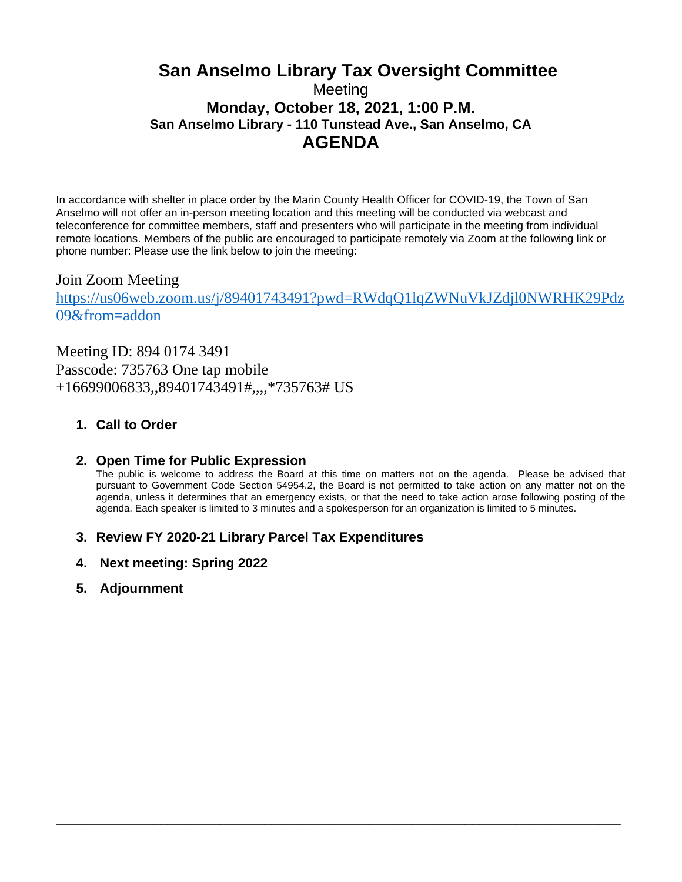# **San Anselmo Library Tax Oversight Committee** Meeting **Monday, October 18, 2021, 1:00 P.M. San Anselmo Library - 110 Tunstead Ave., San Anselmo, CA AGENDA**

In accordance with shelter in place order by the Marin County Health Officer for COVID-19, the Town of San Anselmo will not offer an in-person meeting location and this meeting will be conducted via webcast and teleconference for committee members, staff and presenters who will participate in the meeting from individual remote locations. Members of the public are encouraged to participate remotely via Zoom at the following link or phone number: Please use the link below to join the meeting:

## Join Zoom Meeting [https://us06web.zoom.us/j/89401743491?pwd=RWdqQ1lqZWNuVkJZdjl0NWRHK29Pdz](https://us06web.zoom.us/j/89401743491?pwd=RWdqQ1lqZWNuVkJZdjl0NWRHK29Pdz09&from=addon) 09&from=addon

Meeting ID: 894 0174 3491 Passcode: 735763 One tap mobile +16699006833,,89401743491#,,,,\*735763# US

### **1. Call to Order**

#### **2. Open Time for Public Expression**

The public is welcome to address the Board at this time on matters not on the agenda. Please be advised that pursuant to Government Code Section 54954.2, the Board is not permitted to take action on any matter not on the agenda, unless it determines that an emergency exists, or that the need to take action arose following posting of the agenda. Each speaker is limited to 3 minutes and a spokesperson for an organization is limited to 5 minutes.

**\_\_\_\_\_\_\_\_\_\_\_\_\_\_\_\_\_\_\_\_\_\_\_\_\_\_\_\_\_\_\_\_\_\_\_\_\_\_\_\_\_\_\_\_\_\_\_\_\_\_\_\_\_\_\_\_\_\_\_\_\_\_\_\_\_\_\_\_\_\_\_\_\_\_\_\_**

#### **3. Review FY 2020-21 Library Parcel Tax Expenditures**

- **4. Next meeting: Spring 2022**
- **5. Adjournment**